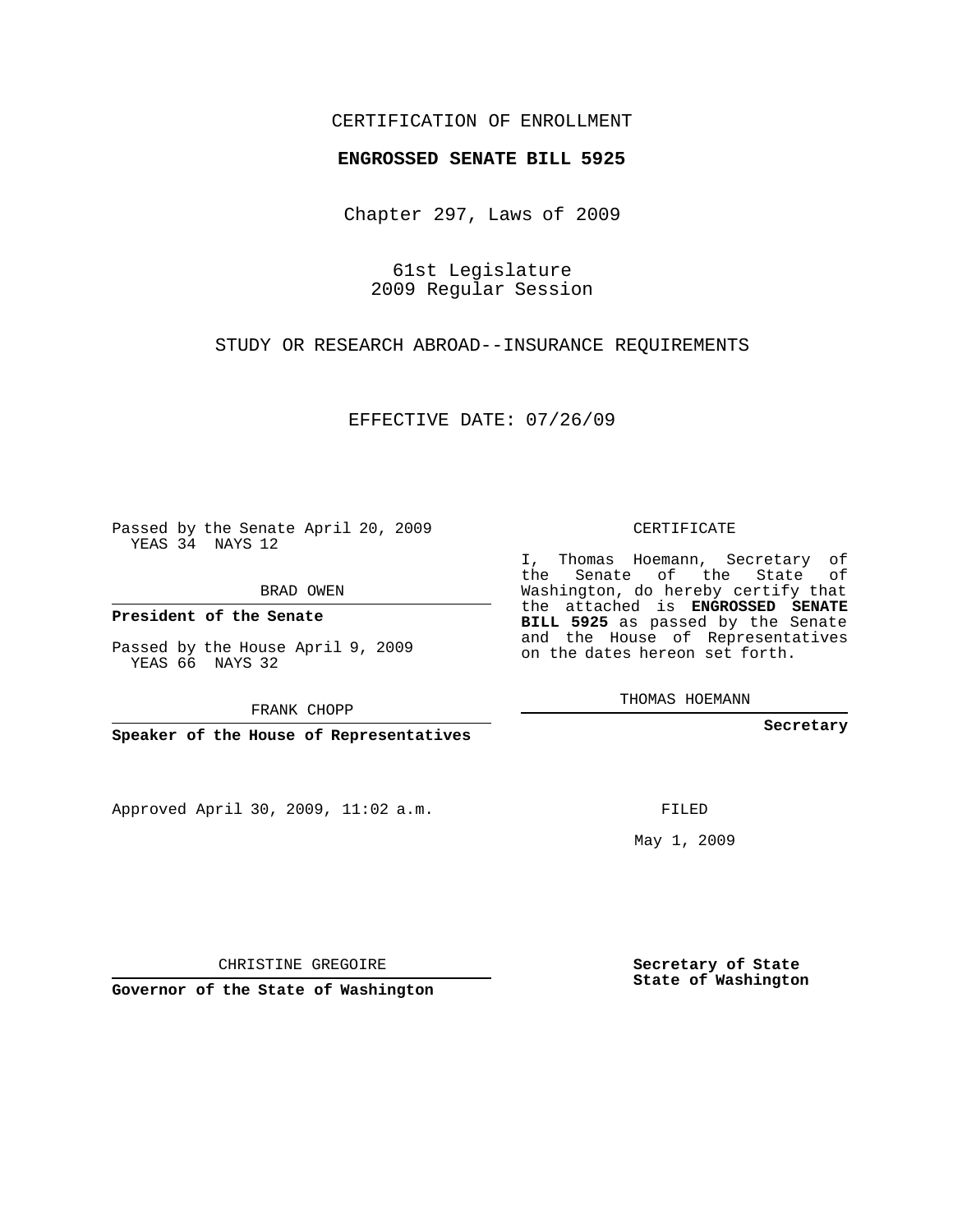## CERTIFICATION OF ENROLLMENT

### **ENGROSSED SENATE BILL 5925**

Chapter 297, Laws of 2009

61st Legislature 2009 Regular Session

STUDY OR RESEARCH ABROAD--INSURANCE REQUIREMENTS

EFFECTIVE DATE: 07/26/09

Passed by the Senate April 20, 2009 YEAS 34 NAYS 12

BRAD OWEN

**President of the Senate**

Passed by the House April 9, 2009 YEAS 66 NAYS 32

FRANK CHOPP

**Speaker of the House of Representatives**

Approved April 30, 2009, 11:02 a.m.

CERTIFICATE

I, Thomas Hoemann, Secretary of the Senate of the State of Washington, do hereby certify that the attached is **ENGROSSED SENATE BILL 5925** as passed by the Senate and the House of Representatives on the dates hereon set forth.

THOMAS HOEMANN

**Secretary**

FILED

May 1, 2009

**Secretary of State State of Washington**

CHRISTINE GREGOIRE

**Governor of the State of Washington**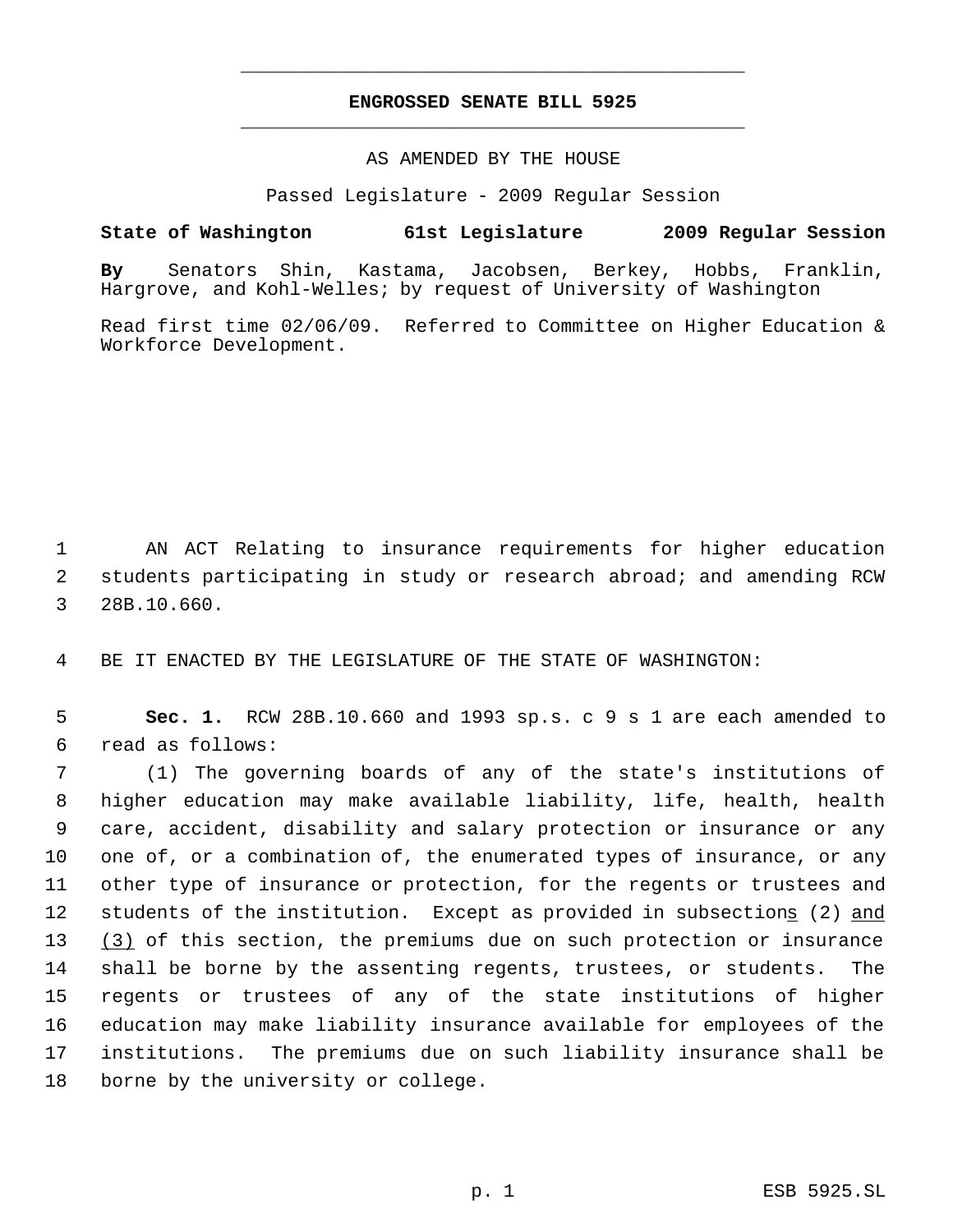# **ENGROSSED SENATE BILL 5925** \_\_\_\_\_\_\_\_\_\_\_\_\_\_\_\_\_\_\_\_\_\_\_\_\_\_\_\_\_\_\_\_\_\_\_\_\_\_\_\_\_\_\_\_\_

\_\_\_\_\_\_\_\_\_\_\_\_\_\_\_\_\_\_\_\_\_\_\_\_\_\_\_\_\_\_\_\_\_\_\_\_\_\_\_\_\_\_\_\_\_

### AS AMENDED BY THE HOUSE

Passed Legislature - 2009 Regular Session

## **State of Washington 61st Legislature 2009 Regular Session**

**By** Senators Shin, Kastama, Jacobsen, Berkey, Hobbs, Franklin, Hargrove, and Kohl-Welles; by request of University of Washington

Read first time 02/06/09. Referred to Committee on Higher Education & Workforce Development.

 1 AN ACT Relating to insurance requirements for higher education 2 students participating in study or research abroad; and amending RCW 3 28B.10.660.

4 BE IT ENACTED BY THE LEGISLATURE OF THE STATE OF WASHINGTON:

 5 **Sec. 1.** RCW 28B.10.660 and 1993 sp.s. c 9 s 1 are each amended to 6 read as follows:

 (1) The governing boards of any of the state's institutions of higher education may make available liability, life, health, health care, accident, disability and salary protection or insurance or any one of, or a combination of, the enumerated types of insurance, or any other type of insurance or protection, for the regents or trustees and 12 students of the institution. Except as provided in subsections (2) and 13 (3) of this section, the premiums due on such protection or insurance shall be borne by the assenting regents, trustees, or students. The regents or trustees of any of the state institutions of higher education may make liability insurance available for employees of the institutions. The premiums due on such liability insurance shall be borne by the university or college.